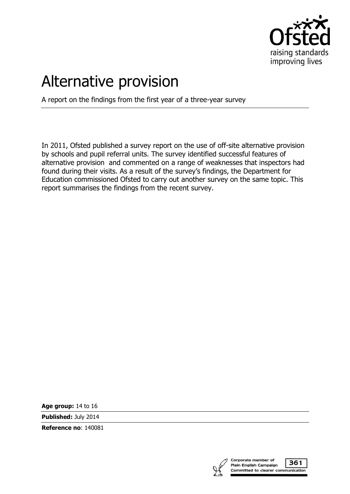

# Alternative provision

A report on the findings from the first year of a three-year survey

In 2011, Ofsted published a survey report on the use of off-site alternative provision by schools and pupil referral units. The survey identified successful features of alternative provision and commented on a range of weaknesses that inspectors had found during their visits. As a result of the survey's findings, the Department for Education commissioned Ofsted to carry out another survey on the same topic. This report summarises the findings from the recent survey.

**Age group:** 14 to 16

**Published:** July 2014

**Reference no**: 140081

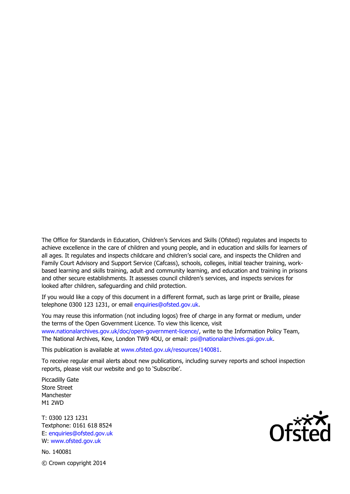The Office for Standards in Education, Children's Services and Skills (Ofsted) regulates and inspects to achieve excellence in the care of children and young people, and in education and skills for learners of all ages. It regulates and inspects childcare and children's social care, and inspects the Children and Family Court Advisory and Support Service (Cafcass), schools, colleges, initial teacher training, workbased learning and skills training, adult and community learning, and education and training in prisons and other secure establishments. It assesses council children's services, and inspects services for looked after children, safeguarding and child protection.

If you would like a copy of this document in a different format, such as large print or Braille, please telephone 0300 123 1231, or email enquiries@ofsted.gov.uk.

You may reuse this information (not including logos) free of charge in any format or medium, under the terms of the Open Government Licence. To view this licence, visit www.nationalarchives.gov.uk/doc/open-government-licence/, write to the Information Policy Team, The National Archives, Kew, London TW9 4DU, or email: psi@nationalarchives.gsi.gov.uk.

This publication is available at www.ofsted.gov.uk/resources/140081.

To receive regular email alerts about new publications, including survey reports and school inspection reports, please visit our website and go to 'Subscribe'.

Piccadilly Gate Store Street Manchester M1 2WD

T: 0300 123 1231 Textphone: 0161 618 8524 E: enquiries@ofsted.gov.uk W: www.ofsted.gov.uk

No. 140081 © Crown copyright 2014

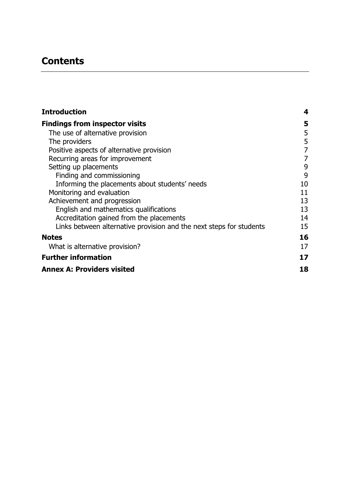# **Contents**

| <b>Introduction</b>                                                 | 4  |
|---------------------------------------------------------------------|----|
| <b>Findings from inspector visits</b>                               | 5  |
| The use of alternative provision                                    | 5  |
| The providers                                                       | 5  |
| Positive aspects of alternative provision                           | 7  |
| Recurring areas for improvement                                     | 7  |
| Setting up placements                                               | 9  |
| Finding and commissioning                                           | 9  |
| Informing the placements about students' needs                      | 10 |
| Monitoring and evaluation                                           | 11 |
| Achievement and progression                                         | 13 |
| English and mathematics qualifications                              | 13 |
| Accreditation gained from the placements                            | 14 |
| Links between alternative provision and the next steps for students | 15 |
| <b>Notes</b>                                                        | 16 |
| What is alternative provision?                                      | 17 |
| <b>Further information</b>                                          | 17 |
| <b>Annex A: Providers visited</b>                                   | 18 |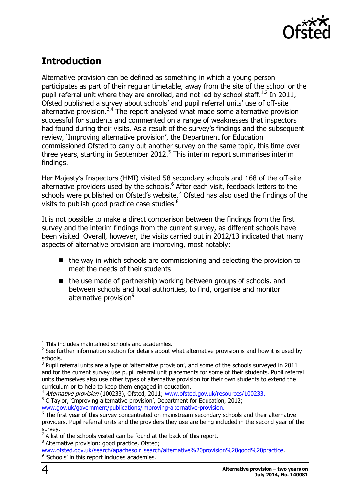

# <span id="page-3-0"></span>**Introduction**

Alternative provision can be defined as something in which a young person participates as part of their regular timetable, away from the site of the school or the pupil referral unit where they are enrolled, and not led by school staff. $^{1,2}$  In 2011, Ofsted published a survey about schools' and pupil referral units' use of off-site alternative provision.<sup>3,4</sup> The report analysed what made some alternative provision successful for students and commented on a range of weaknesses that inspectors had found during their visits. As a result of the survey's findings and the subsequent review, 'Improving alternative provision', the Department for Education commissioned Ofsted to carry out another survey on the same topic, this time over three years, starting in September 2012.<sup>5</sup> This interim report summarises interim findings.

Her Majesty's Inspectors (HMI) visited 58 secondary schools and 168 of the off-site alternative providers used by the schools.<sup>6</sup> After each visit, feedback letters to the schools were published on Ofsted's website. $^7$  Ofsted has also used the findings of the visits to publish good practice case studies. $^8$ 

It is not possible to make a direct comparison between the findings from the first survey and the interim findings from the current survey, as different schools have been visited. Overall, however, the visits carried out in 2012/13 indicated that many aspects of alternative provision are improving, most notably:

- $\blacksquare$  the way in which schools are commissioning and selecting the provision to meet the needs of their students
- $\blacksquare$  the use made of partnership working between groups of schools, and between schools and local authorities, to find, organise and monitor alternative provision<sup>9</sup>

j

 $1$  This includes maintained schools and academies.

 $2$  See further information section for details about what alternative provision is and how it is used by schools.

 $3$  Pupil referral units are a type of 'alternative provision', and some of the schools surveyed in 2011 and for the current survey use pupil referral unit placements for some of their students. Pupil referral units themselves also use other types of alternative provision for their own students to extend the curriculum or to help to keep them engaged in education.

<sup>&</sup>lt;sup>4</sup> Alternative provision (100233), Ofsted, 2011; [www.ofsted.gov.uk/resources/100233.](http://www.ofsted.gov.uk/resources/100233)  $5$  C Taylor, 'Improving alternative provision', Department for Education, 2012; [www.gov.uk/government/publications/improving-alternative-provision.](https://www.gov.uk/government/publications/improving-alternative-provision)

<sup>&</sup>lt;sup>6</sup> The first year of this survey concentrated on mainstream secondary schools and their alternative providers. Pupil referral units and the providers they use are being included in the second year of the survey.

 $7$  A list of the schools visited can be found at the back of this report. <sup>8</sup> Alternative provision: good practice, Ofsted;

[www.ofsted.gov.uk/search/apachesolr\\_search/alternative%20provision%20good%20practice.](http://www.ofsted.gov.uk/search/apachesolr_search/alternative%20provision%20good%20practice) <sup>9</sup> 'Schools' in this report includes academies.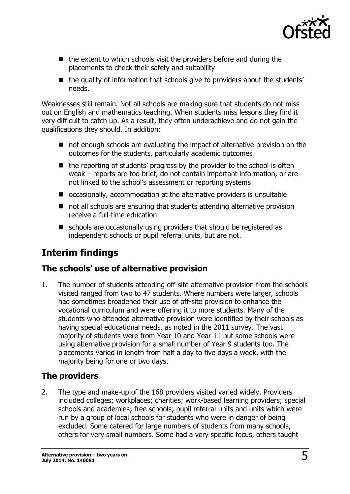

- $\blacksquare$  the extent to which schools visit the providers before and during the placements to check their safety and suitability
- the quality of information that schools give to providers about the students' needs.

Weaknesses still remain. Not all schools are making sure that students do not miss out on English and mathematics teaching. When students miss lessons they find it very difficult to catch up. As a result, they often underachieve and do not gain the qualifications they should. In addition:

- not enough schools are evaluating the impact of alternative provision on the outcomes for the students, particularly academic outcomes
- $\blacksquare$  the reporting of students' progress by the provider to the school is often weak – reports are too brief, do not contain important information, or are not linked to the school's assessment or reporting systems
- occasionally, accommodation at the alternative providers is unsuitable
- not all schools are ensuring that students attending alternative provision receive a full-time education
- schools are occasionally using providers that should be registered as independent schools or pupil referral units, but are not.

# <span id="page-4-0"></span>**Interim findings**

## <span id="page-4-1"></span>**The schools' use of alternative provision**

1. The number of students attending off-site alternative provision from the schools visited ranged from two to 47 students. Where numbers were larger, schools had sometimes broadened their use of off-site provision to enhance the vocational curriculum and were offering it to more students. Many of the students who attended alternative provision were identified by their schools as having special educational needs, as noted in the 2011 survey. The vast majority of students were from Year 10 and Year 11 but some schools were using alternative provision for a small number of Year 9 students too. The placements varied in length from half a day to five days a week, with the majority being for one or two days.

## <span id="page-4-2"></span>**The providers**

2. The type and make-up of the 168 providers visited varied widely. Providers included colleges; workplaces; charities; work-based learning providers; special schools and academies; free schools; pupil referral units and units which were run by a group of local schools for students who were in danger of being excluded. Some catered for large numbers of students from many schools, others for very small numbers. Some had a very specific focus, others taught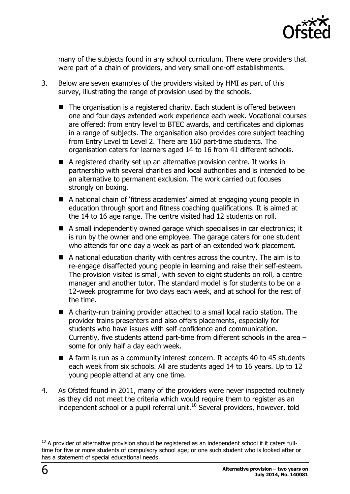

many of the subjects found in any school curriculum. There were providers that were part of a chain of providers, and very small one-off establishments.

- 3. Below are seven examples of the providers visited by HMI as part of this survey, illustrating the range of provision used by the schools.
	- The organisation is a registered charity. Each student is offered between one and four days extended work experience each week. Vocational courses are offered: from entry level to BTEC awards, and certificates and diplomas in a range of subjects. The organisation also provides core subject teaching from Entry Level to Level 2. There are 160 part-time students. The organisation caters for learners aged 14 to 16 from 41 different schools.
	- A registered charity set up an alternative provision centre. It works in partnership with several charities and local authorities and is intended to be an alternative to permanent exclusion. The work carried out focuses strongly on boxing.
	- A national chain of 'fitness academies' aimed at engaging young people in education through sport and fitness coaching qualifications. It is aimed at the 14 to 16 age range. The centre visited had 12 students on roll.
	- A small independently owned garage which specialises in car electronics; it is run by the owner and one employee. The garage caters for one student who attends for one day a week as part of an extended work placement.
	- A national education charity with centres across the country. The aim is to re-engage disaffected young people in learning and raise their self-esteem. The provision visited is small, with seven to eight students on roll, a centre manager and another tutor. The standard model is for students to be on a 12-week programme for two days each week, and at school for the rest of the time.
	- A charity-run training provider attached to a small local radio station. The provider trains presenters and also offers placements, especially for students who have issues with self-confidence and communication. Currently, five students attend part-time from different schools in the area – some for only half a day each week.
	- A farm is run as a community interest concern. It accepts 40 to 45 students each week from six schools. All are students aged 14 to 16 years. Up to 12 young people attend at any one time.
- 4. As Ofsted found in 2011, many of the providers were never inspected routinely as they did not meet the criteria which would require them to register as an independent school or a pupil referral unit.<sup>10</sup> Several providers, however, told

-

<sup>&</sup>lt;sup>10</sup> A provider of alternative provision should be registered as an independent school if it caters fulltime for five or more students of compulsory school age; or one such student who is looked after or has a statement of special educational needs.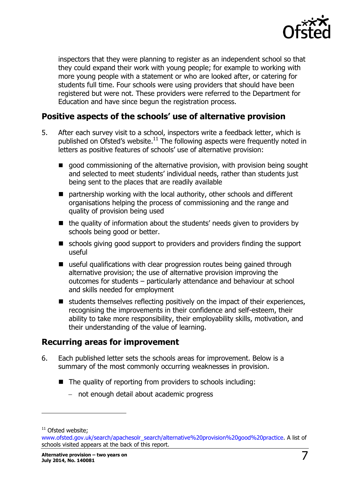

inspectors that they were planning to register as an independent school so that they could expand their work with young people; for example to working with more young people with a statement or who are looked after, or catering for students full time. Four schools were using providers that should have been registered but were not. These providers were referred to the Department for Education and have since begun the registration process.

## <span id="page-6-0"></span>**Positive aspects of the schools' use of alternative provision**

- 5. After each survey visit to a school, inspectors write a feedback letter, which is published on Ofsted's website.<sup>11</sup> The following aspects were frequently noted in letters as positive features of schools' use of alternative provision:
	- good commissioning of the alternative provision, with provision being sought and selected to meet students' individual needs, rather than students just being sent to the places that are readily available
	- partnership working with the local authority, other schools and different organisations helping the process of commissioning and the range and quality of provision being used
	- $\blacksquare$  the quality of information about the students' needs given to providers by schools being good or better.
	- schools giving good support to providers and providers finding the support useful
	- useful qualifications with clear progression routes being gained through alternative provision; the use of alternative provision improving the outcomes for students – particularly attendance and behaviour at school and skills needed for employment
	- $\blacksquare$  students themselves reflecting positively on the impact of their experiences, recognising the improvements in their confidence and self-esteem, their ability to take more responsibility, their employability skills, motivation, and their understanding of the value of learning.

## <span id="page-6-1"></span>**Recurring areas for improvement**

- 6. Each published letter sets the schools areas for improvement. Below is a summary of the most commonly occurring weaknesses in provision.
	- The quality of reporting from providers to schools including:
		- not enough detail about academic progress

j

 $11$  Ofsted website;

[www.ofsted.gov.uk/search/apachesolr\\_search/alternative%20provision%20good%20practice.](http://www.ofsted.gov.uk/search/apachesolr_search/alternative%20provision%20good%20practice) A list of schools visited appears at the back of this report.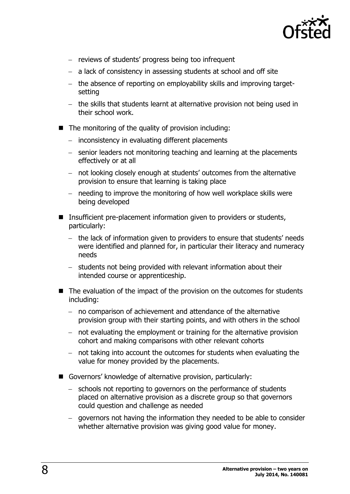

- reviews of students' progress being too infrequent
- a lack of consistency in assessing students at school and off site
- the absence of reporting on employability skills and improving targetsetting
- the skills that students learnt at alternative provision not being used in their school work.
- The monitoring of the quality of provision including:
	- $-$  inconsistency in evaluating different placements
	- senior leaders not monitoring teaching and learning at the placements effectively or at all
	- not looking closely enough at students' outcomes from the alternative provision to ensure that learning is taking place
	- $-$  needing to improve the monitoring of how well workplace skills were being developed
- Insufficient pre-placement information given to providers or students, particularly:
	- the lack of information given to providers to ensure that students' needs were identified and planned for, in particular their literacy and numeracy needs
	- $-$  students not being provided with relevant information about their intended course or apprenticeship.
- The evaluation of the impact of the provision on the outcomes for students including:
	- no comparison of achievement and attendance of the alternative provision group with their starting points, and with others in the school
	- not evaluating the employment or training for the alternative provision cohort and making comparisons with other relevant cohorts
	- $-$  not taking into account the outcomes for students when evaluating the value for money provided by the placements.
- Governors' knowledge of alternative provision, particularly:
	- schools not reporting to governors on the performance of students placed on alternative provision as a discrete group so that governors could question and challenge as needed
	- governors not having the information they needed to be able to consider whether alternative provision was giving good value for money.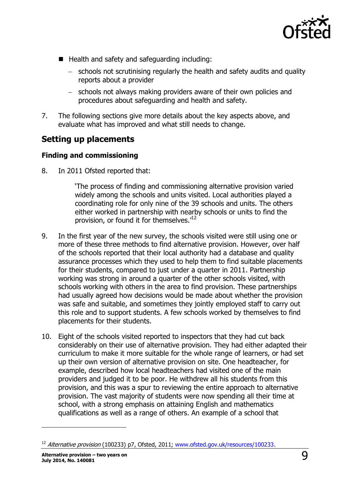

- Health and safety and safeguarding including:
	- schools not scrutinising regularly the health and safety audits and quality reports about a provider
	- schools not always making providers aware of their own policies and procedures about safeguarding and health and safety.
- 7. The following sections give more details about the key aspects above, and evaluate what has improved and what still needs to change.

## <span id="page-8-0"></span>**Setting up placements**

#### <span id="page-8-1"></span>**Finding and commissioning**

8. In 2011 Ofsted reported that:

'The process of finding and commissioning alternative provision varied widely among the schools and units visited. Local authorities played a coordinating role for only nine of the 39 schools and units. The others either worked in partnership with nearby schools or units to find the provision, or found it for themselves.<sup>12</sup>

- 9. In the first year of the new survey, the schools visited were still using one or more of these three methods to find alternative provision. However, over half of the schools reported that their local authority had a database and quality assurance processes which they used to help them to find suitable placements for their students, compared to just under a quarter in 2011. Partnership working was strong in around a quarter of the other schools visited, with schools working with others in the area to find provision. These partnerships had usually agreed how decisions would be made about whether the provision was safe and suitable, and sometimes they jointly employed staff to carry out this role and to support students. A few schools worked by themselves to find placements for their students.
- 10. Eight of the schools visited reported to inspectors that they had cut back considerably on their use of alternative provision. They had either adapted their curriculum to make it more suitable for the whole range of learners, or had set up their own version of alternative provision on site. One headteacher, for example, described how local headteachers had visited one of the main providers and judged it to be poor. He withdrew all his students from this provision, and this was a spur to reviewing the entire approach to alternative provision. The vast majority of students were now spending all their time at school, with a strong emphasis on attaining English and mathematics qualifications as well as a range of others. An example of a school that

 $\overline{a}$ 

<sup>&</sup>lt;sup>12</sup> Alternative provision (100233) p7, Ofsted, 2011; [www.ofsted.gov.uk/resources/100233.](http://www.ofsted.gov.uk/resources/100233)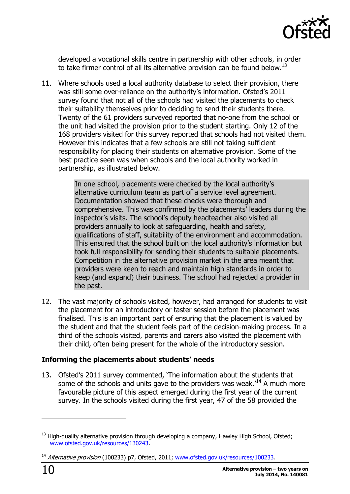

developed a vocational skills centre in partnership with other schools, in order to take firmer control of all its alternative provision can be found below.<sup>13</sup>

11. Where schools used a local authority database to select their provision, there was still some over-reliance on the authority's information. Ofsted's 2011 survey found that not all of the schools had visited the placements to check their suitability themselves prior to deciding to send their students there. Twenty of the 61 providers surveyed reported that no-one from the school or the unit had visited the provision prior to the student starting. Only 12 of the 168 providers visited for this survey reported that schools had not visited them. However this indicates that a few schools are still not taking sufficient responsibility for placing their students on alternative provision. Some of the best practice seen was when schools and the local authority worked in partnership, as illustrated below.

> In one school, placements were checked by the local authority's alternative curriculum team as part of a service level agreement. Documentation showed that these checks were thorough and comprehensive. This was confirmed by the placements' leaders during the inspector's visits. The school's deputy headteacher also visited all providers annually to look at safeguarding, health and safety, qualifications of staff, suitability of the environment and accommodation. This ensured that the school built on the local authority's information but took full responsibility for sending their students to suitable placements. Competition in the alternative provision market in the area meant that providers were keen to reach and maintain high standards in order to keep (and expand) their business. The school had rejected a provider in the past.

12. The vast majority of schools visited, however, had arranged for students to visit the placement for an introductory or taster session before the placement was finalised. This is an important part of ensuring that the placement is valued by the student and that the student feels part of the decision-making process. In a third of the schools visited, parents and carers also visited the placement with their child, often being present for the whole of the introductory session.

### <span id="page-9-0"></span>**Informing the placements about students' needs**

13. Ofsted's 2011 survey commented, 'The information about the students that some of the schools and units gave to the providers was weak.<sup>14</sup> A much more favourable picture of this aspect emerged during the first year of the current survey. In the schools visited during the first year, 47 of the 58 provided the

-

<sup>&</sup>lt;sup>13</sup> [High-quality alternative provision through developing a company,](http://www.ofsted.gov.uk/resources/good-practice-resource-high-quality-alternative-provision-through-creating-company-hawkley-hall-high) Hawley High School, Ofsted; [www.ofsted.gov.uk/resources/130243.](http://www.ofsted.gov.uk/resources/130243)

<sup>&</sup>lt;sup>14</sup> Alternative provision (100233) p7, Ofsted, 2011; [www.ofsted.gov.uk/resources/100233.](http://www.ofsted.gov.uk/resources/100233)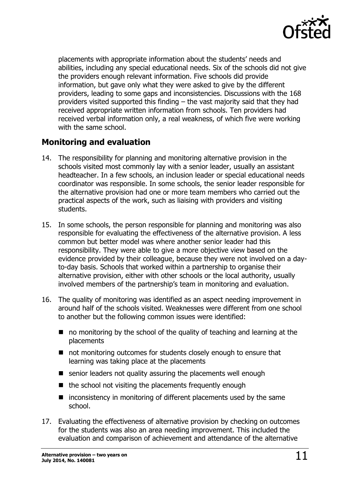

placements with appropriate information about the students' needs and abilities, including any special educational needs. Six of the schools did not give the providers enough relevant information. Five schools did provide information, but gave only what they were asked to give by the different providers, leading to some gaps and inconsistencies. Discussions with the 168 providers visited supported this finding – the vast majority said that they had received appropriate written information from schools. Ten providers had received verbal information only, a real weakness, of which five were working with the same school.

## <span id="page-10-0"></span>**Monitoring and evaluation**

- 14. The responsibility for planning and monitoring alternative provision in the schools visited most commonly lay with a senior leader, usually an assistant headteacher. In a few schools, an inclusion leader or special educational needs coordinator was responsible. In some schools, the senior leader responsible for the alternative provision had one or more team members who carried out the practical aspects of the work, such as liaising with providers and visiting students.
- 15. In some schools, the person responsible for planning and monitoring was also responsible for evaluating the effectiveness of the alternative provision. A less common but better model was where another senior leader had this responsibility. They were able to give a more objective view based on the evidence provided by their colleague, because they were not involved on a dayto-day basis. Schools that worked within a partnership to organise their alternative provision, either with other schools or the local authority, usually involved members of the partnership's team in monitoring and evaluation.
- 16. The quality of monitoring was identified as an aspect needing improvement in around half of the schools visited. Weaknesses were different from one school to another but the following common issues were identified:
	- no monitoring by the school of the quality of teaching and learning at the placements
	- not monitoring outcomes for students closely enough to ensure that learning was taking place at the placements
	- senior leaders not quality assuring the placements well enough
	- $\blacksquare$  the school not visiting the placements frequently enough
	- $\blacksquare$  inconsistency in monitoring of different placements used by the same school.
- 17. Evaluating the effectiveness of alternative provision by checking on outcomes for the students was also an area needing improvement. This included the evaluation and comparison of achievement and attendance of the alternative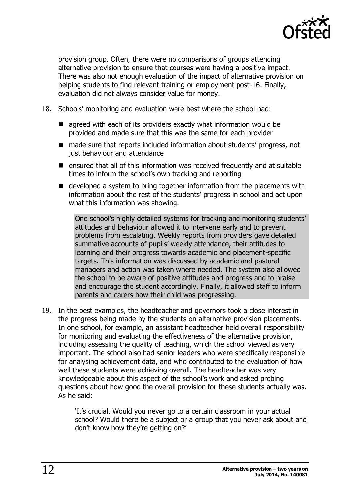

provision group. Often, there were no comparisons of groups attending alternative provision to ensure that courses were having a positive impact. There was also not enough evaluation of the impact of alternative provision on helping students to find relevant training or employment post-16. Finally, evaluation did not always consider value for money.

- 18. Schools' monitoring and evaluation were best where the school had:
	- **E** agreed with each of its providers exactly what information would be provided and made sure that this was the same for each provider
	- made sure that reports included information about students' progress, not just behaviour and attendance
	- **E** ensured that all of this information was received frequently and at suitable times to inform the school's own tracking and reporting
	- developed a system to bring together information from the placements with information about the rest of the students' progress in school and act upon what this information was showing.

One school's highly detailed systems for tracking and monitoring students' attitudes and behaviour allowed it to intervene early and to prevent problems from escalating. Weekly reports from providers gave detailed summative accounts of pupils' weekly attendance, their attitudes to learning and their progress towards academic and placement-specific targets. This information was discussed by academic and pastoral managers and action was taken where needed. The system also allowed the school to be aware of positive attitudes and progress and to praise and encourage the student accordingly. Finally, it allowed staff to inform parents and carers how their child was progressing.

19. In the best examples, the headteacher and governors took a close interest in the progress being made by the students on alternative provision placements. In one school, for example, an assistant headteacher held overall responsibility for monitoring and evaluating the effectiveness of the alternative provision, including assessing the quality of teaching, which the school viewed as very important. The school also had senior leaders who were specifically responsible for analysing achievement data, and who contributed to the evaluation of how well these students were achieving overall. The headteacher was very knowledgeable about this aspect of the school's work and asked probing questions about how good the overall provision for these students actually was. As he said:

> 'It's crucial. Would you never go to a certain classroom in your actual school? Would there be a subject or a group that you never ask about and don't know how they're getting on?'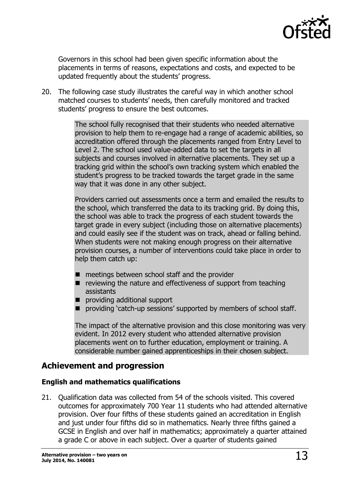

Governors in this school had been given specific information about the placements in terms of reasons, expectations and costs, and expected to be updated frequently about the students' progress.

20. The following case study illustrates the careful way in which another school matched courses to students' needs, then carefully monitored and tracked students' progress to ensure the best outcomes.

> The school fully recognised that their students who needed alternative provision to help them to re-engage had a range of academic abilities, so accreditation offered through the placements ranged from Entry Level to Level 2. The school used value-added data to set the targets in all subjects and courses involved in alternative placements. They set up a tracking grid within the school's own tracking system which enabled the student's progress to be tracked towards the target grade in the same way that it was done in any other subject.

> Providers carried out assessments once a term and emailed the results to the school, which transferred the data to its tracking grid. By doing this, the school was able to track the progress of each student towards the target grade in every subject (including those on alternative placements) and could easily see if the student was on track, ahead or falling behind. When students were not making enough progress on their alternative provision courses, a number of interventions could take place in order to help them catch up:

- meetings between school staff and the provider
- $\blacksquare$  reviewing the nature and effectiveness of support from teaching assistants
- providing additional support
- **P** providing 'catch-up sessions' supported by members of school staff.

The impact of the alternative provision and this close monitoring was very evident. In 2012 every student who attended alternative provision placements went on to further education, employment or training. A considerable number gained apprenticeships in their chosen subject.

## <span id="page-12-0"></span>**Achievement and progression**

#### <span id="page-12-1"></span>**English and mathematics qualifications**

21. Qualification data was collected from 54 of the schools visited. This covered outcomes for approximately 700 Year 11 students who had attended alternative provision. Over four fifths of these students gained an accreditation in English and just under four fifths did so in mathematics. Nearly three fifths gained a GCSE in English and over half in mathematics; approximately a quarter attained a grade C or above in each subject. Over a quarter of students gained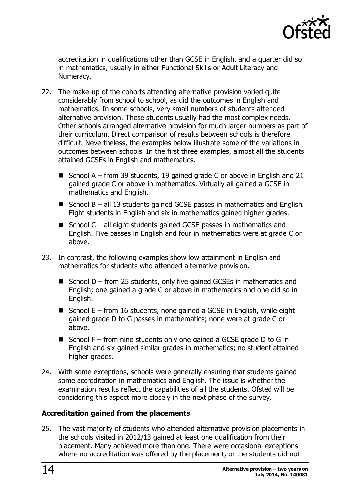

accreditation in qualifications other than GCSE in English, and a quarter did so in mathematics, usually in either Functional Skills or Adult Literacy and Numeracy.

- 22. The make-up of the cohorts attending alternative provision varied quite considerably from school to school, as did the outcomes in English and mathematics. In some schools, very small numbers of students attended alternative provision. These students usually had the most complex needs. Other schools arranged alternative provision for much larger numbers as part of their curriculum. Direct comparison of results between schools is therefore difficult. Nevertheless, the examples below illustrate some of the variations in outcomes between schools. In the first three examples, almost all the students attained GCSEs in English and mathematics.
	- School A from 39 students, 19 gained grade C or above in English and 21 gained grade C or above in mathematics. Virtually all gained a GCSE in mathematics and English.
	- School  $B all 13$  students gained GCSE passes in mathematics and English. Eight students in English and six in mathematics gained higher grades.
	- School  $C -$  all eight students gained GCSE passes in mathematics and English. Five passes in English and four in mathematics were at grade C or above.
- 23. In contrast, the following examples show low attainment in English and mathematics for students who attended alternative provision.
	- School  $D$  from 25 students, only five gained GCSEs in mathematics and English; one gained a grade C or above in mathematics and one did so in English.
	- School  $E$  from 16 students, none gained a GCSE in English, while eight gained grade D to G passes in mathematics; none were at grade C or above.
	- School  $F -$  from nine students only one gained a GCSE grade D to G in English and six gained similar grades in mathematics; no student attained higher grades.
- 24. With some exceptions, schools were generally ensuring that students gained some accreditation in mathematics and English. The issue is whether the examination results reflect the capabilities of all the students. Ofsted will be considering this aspect more closely in the next phase of the survey.

### <span id="page-13-0"></span>**Accreditation gained from the placements**

25. The vast majority of students who attended alternative provision placements in the schools visited in 2012/13 gained at least one qualification from their placement. Many achieved more than one. There were occasional exceptions where no accreditation was offered by the placement, or the students did not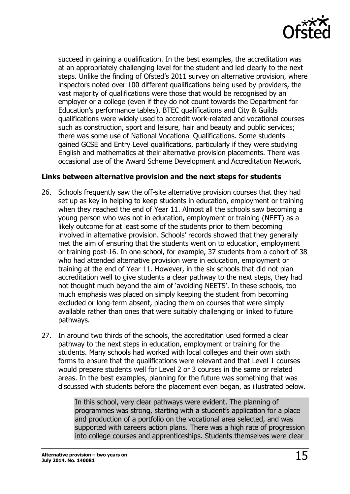

succeed in gaining a qualification. In the best examples, the accreditation was at an appropriately challenging level for the student and led clearly to the next steps. Unlike the finding of Ofsted's 2011 survey on alternative provision, where inspectors noted over 100 different qualifications being used by providers, the vast majority of qualifications were those that would be recognised by an employer or a college (even if they do not count towards the Department for Education's performance tables). BTEC qualifications and City & Guilds qualifications were widely used to accredit work-related and vocational courses such as construction, sport and leisure, hair and beauty and public services; there was some use of National Vocational Qualifications. Some students gained GCSE and Entry Level qualifications, particularly if they were studying English and mathematics at their alternative provision placements. There was occasional use of the Award Scheme Development and Accreditation Network.

#### <span id="page-14-0"></span>**Links between alternative provision and the next steps for students**

- 26. Schools frequently saw the off-site alternative provision courses that they had set up as key in helping to keep students in education, employment or training when they reached the end of Year 11. Almost all the schools saw becoming a young person who was not in education, employment or training (NEET) as a likely outcome for at least some of the students prior to them becoming involved in alternative provision. Schools' records showed that they generally met the aim of ensuring that the students went on to education, employment or training post-16. In one school, for example, 37 students from a cohort of 38 who had attended alternative provision were in education, employment or training at the end of Year 11. However, in the six schools that did not plan accreditation well to give students a clear pathway to the next steps, they had not thought much beyond the aim of 'avoiding NEETS'. In these schools, too much emphasis was placed on simply keeping the student from becoming excluded or long-term absent, placing them on courses that were simply available rather than ones that were suitably challenging or linked to future pathways.
- 27. In around two thirds of the schools, the accreditation used formed a clear pathway to the next steps in education, employment or training for the students. Many schools had worked with local colleges and their own sixth forms to ensure that the qualifications were relevant and that Level 1 courses would prepare students well for Level 2 or 3 courses in the same or related areas. In the best examples, planning for the future was something that was discussed with students before the placement even began, as illustrated below.

In this school, very clear pathways were evident. The planning of programmes was strong, starting with a student's application for a place and production of a portfolio on the vocational area selected, and was supported with careers action plans. There was a high rate of progression into college courses and apprenticeships. Students themselves were clear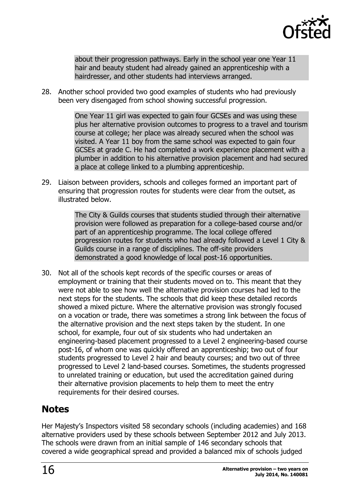

about their progression pathways. Early in the school year one Year 11 hair and beauty student had already gained an apprenticeship with a hairdresser, and other students had interviews arranged.

28. Another school provided two good examples of students who had previously been very disengaged from school showing successful progression.

> One Year 11 girl was expected to gain four GCSEs and was using these plus her alternative provision outcomes to progress to a travel and tourism course at college; her place was already secured when the school was visited. A Year 11 boy from the same school was expected to gain four GCSEs at grade C. He had completed a work experience placement with a plumber in addition to his alternative provision placement and had secured a place at college linked to a plumbing apprenticeship.

29. Liaison between providers, schools and colleges formed an important part of ensuring that progression routes for students were clear from the outset, as illustrated below.

> The City & Guilds courses that students studied through their alternative provision were followed as preparation for a college-based course and/or part of an apprenticeship programme. The local college offered progression routes for students who had already followed a Level 1 City & Guilds course in a range of disciplines. The off-site providers demonstrated a good knowledge of local post-16 opportunities.

30. Not all of the schools kept records of the specific courses or areas of employment or training that their students moved on to. This meant that they were not able to see how well the alternative provision courses had led to the next steps for the students. The schools that did keep these detailed records showed a mixed picture. Where the alternative provision was strongly focused on a vocation or trade, there was sometimes a strong link between the focus of the alternative provision and the next steps taken by the student. In one school, for example, four out of six students who had undertaken an engineering-based placement progressed to a Level 2 engineering-based course post-16, of whom one was quickly offered an apprenticeship; two out of four students progressed to Level 2 hair and beauty courses; and two out of three progressed to Level 2 land-based courses. Sometimes, the students progressed to unrelated training or education, but used the accreditation gained during their alternative provision placements to help them to meet the entry requirements for their desired courses.

## <span id="page-15-0"></span>**Notes**

Her Majesty's Inspectors visited 58 secondary schools (including academies) and 168 alternative providers used by these schools between September 2012 and July 2013. The schools were drawn from an initial sample of 146 secondary schools that covered a wide geographical spread and provided a balanced mix of schools judged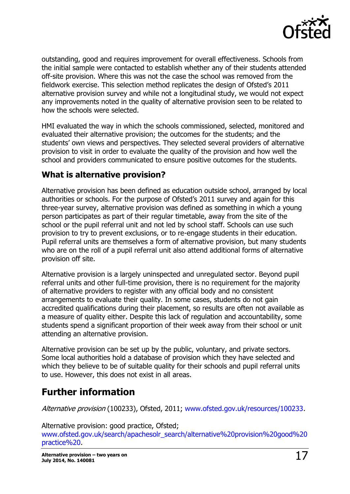

outstanding, good and requires improvement for overall effectiveness. Schools from the initial sample were contacted to establish whether any of their students attended off-site provision. Where this was not the case the school was removed from the fieldwork exercise. This selection method replicates the design of Ofsted's 2011 alternative provision survey and while not a longitudinal study, we would not expect any improvements noted in the quality of alternative provision seen to be related to how the schools were selected.

HMI evaluated the way in which the schools commissioned, selected, monitored and evaluated their alternative provision; the outcomes for the students; and the students' own views and perspectives. They selected several providers of alternative provision to visit in order to evaluate the quality of the provision and how well the school and providers communicated to ensure positive outcomes for the students.

## <span id="page-16-0"></span>**What is alternative provision?**

Alternative provision has been defined as education outside school, arranged by local authorities or schools. For the purpose of Ofsted's 2011 survey and again for this three-year survey, alternative provision was defined as something in which a young person participates as part of their regular timetable, away from the site of the school or the pupil referral unit and not led by school staff. Schools can use such provision to try to prevent exclusions, or to re-engage students in their education. Pupil referral units are themselves a form of alternative provision, but many students who are on the roll of a pupil referral unit also attend additional forms of alternative provision off site.

Alternative provision is a largely uninspected and unregulated sector. Beyond pupil referral units and other full-time provision, there is no requirement for the majority of alternative providers to register with any official body and no consistent arrangements to evaluate their quality. In some cases, students do not gain accredited qualifications during their placement, so results are often not available as a measure of quality either. Despite this lack of regulation and accountability, some students spend a significant proportion of their week away from their school or unit attending an alternative provision.

Alternative provision can be set up by the public, voluntary, and private sectors. Some local authorities hold a database of provision which they have selected and which they believe to be of suitable quality for their schools and pupil referral units to use. However, this does not exist in all areas.

## <span id="page-16-1"></span>**Further information**

Alternative provision (100233), Ofsted, 2011; [www.ofsted.gov.uk/resources/100233.](http://www.ofsted.gov.uk/resources/100233)

Alternative provision: good practice, Ofsted; [www.ofsted.gov.uk/search/apachesolr\\_search/alternative%20provision%20good%20](http://www.ofsted.gov.uk/search/apachesolr_search/alternative%20provision%20good%20practice) [practice%20.](http://www.ofsted.gov.uk/search/apachesolr_search/alternative%20provision%20good%20practice)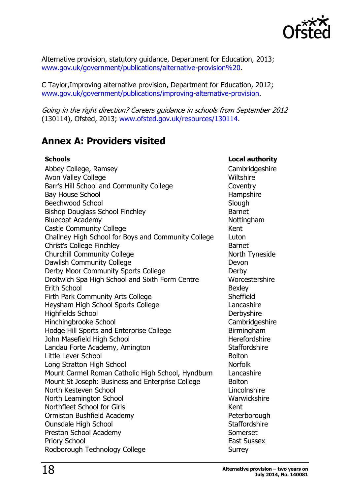

Alternative provision, statutory guidance, Department for Education, 2013; [www.gov.uk/government/publications/alternative-provision%20.](http://www.gov.uk/government/publications/alternative-provision)

C Taylor,Improving alternative provision, Department for Education, 2012; [www.gov.uk/government/publications/improving-alternative-provision.](http://www.gov.uk/government/publications/improving-alternative-provision)

Going in the right direction? Careers guidance in schools from September 2012 (130114), Ofsted, 2013; [www.ofsted.gov.uk/resources/130114.](http://www.ofsted.gov.uk/resources/130114)

## <span id="page-17-0"></span>**Annex A: Providers visited**

#### **Schools Local authority** Abbey College, Ramsey Cambridgeshire Avon Valley College New York 1999 and Nulley College Barr's Hill School and Community College Coventry Bay House School and Hampshire Hampshire Beechwood School School School Supervisor Slough Slough Slough Slough Slough Slough Bishop Douglass School Finchley **Barnet** Bluecoat Academy **Nottingham** Nottingham Castle Community College **Kent** Challney High School for Boys and Community College Luton Christ's College Finchley **Barnet** Churchill Community College North Tyneside Dawlish Community College Devon Derby Moor Community Sports College Derby Droitwich Spa High School and Sixth Form Centre Worcestershire Erith School **Bexley** Firth Park Community Arts College Sheffield Heysham High School Sports College Lancashire Highfields School Derbyshire Hinchingbrooke School Cambridgeshire Hodge Hill Sports and Enterprise College **Bill Birmingham** John Masefield High School New York Herefordshire Landau Forte Academy, Amington Staffordshire Little Lever School and the state of the Bolton Bolton Long Stratton High School Norfolk Mount Carmel Roman Catholic High School, Hyndburn Lancashire Mount St Joseph: Business and Enterprise College Bolton North Kesteven School Lincolnshire Lincolnshire North Leamington School Warwickshire Northfleet School for Girls Kent Ormiston Bushfield Academy **Peterborough** Ounsdale High School Staffordshire Preston School Academy Somerset Priory School **East Sussex** Rodborough Technology College Surrey